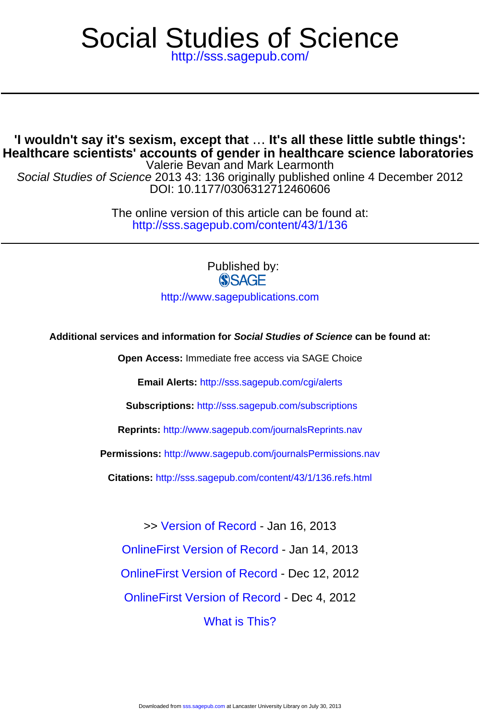# <http://sss.sagepub.com/> Social Studies of Science

**Healthcare scientists' accounts of gender in healthcare science laboratories 'I wouldn't say it's sexism, except that** … **It's all these little subtle things':**

DOI: 10.1177/0306312712460606 Social Studies of Science 2013 43: 136 originally published online 4 December 2012 Valerie Bevan and Mark Learmonth

> <http://sss.sagepub.com/content/43/1/136> The online version of this article can be found at:

> > Published by: **SSAGE**

<http://www.sagepublications.com>

**Additional services and information for Social Studies of Science can be found at:**

**Open Access:** Immediate free access via SAGE Choice

**Email Alerts:** <http://sss.sagepub.com/cgi/alerts>

**Subscriptions:** <http://sss.sagepub.com/subscriptions>

**Reprints:** <http://www.sagepub.com/journalsReprints.nav>

**Permissions:** <http://www.sagepub.com/journalsPermissions.nav>

**Citations:** <http://sss.sagepub.com/content/43/1/136.refs.html>

>> [Version of Record -](http://sss.sagepub.com/content/43/1/136.full.pdf) Jan 16, 2013

[OnlineFirst Version of Record -](http://sss.sagepub.com/content/early/2013/01/11/0306312712460606.full.pdf) Jan 14, 2013

[OnlineFirst Version of Record -](http://sss.sagepub.com/content/early/2012/12/11/0306312712460606.full.pdf) Dec 12, 2012

[OnlineFirst Version of Record -](http://sss.sagepub.com/content/early/2012/12/04/0306312712460606.full.pdf) Dec 4, 2012

[What is This?](http://online.sagepub.com/site/sphelp/vorhelp.xhtml)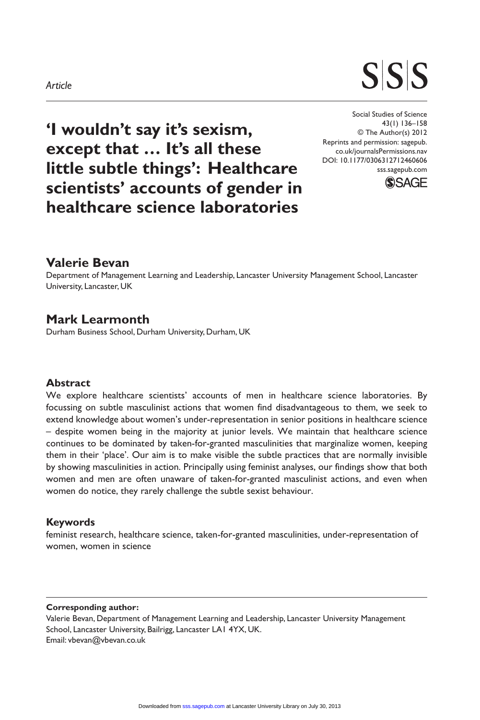#### *Article*

# **SSS**

**'I wouldn't say it's sexism, except that … It's all these little subtle things': Healthcare scientists' accounts of gender in healthcare science laboratories**

Social Studies of Science 43(1) 136–158 © The Author(s) 2012 Reprints and permission: sagepub. co.uk/journalsPermissions.nav DOI: 10.1177/0306312712460606 sss.sagepub.com



## **Valerie Bevan**

Department of Management Learning and Leadership, Lancaster University Management School, Lancaster University, Lancaster, UK

### **Mark Learmonth**

Durham Business School, Durham University, Durham, UK

#### **Abstract**

We explore healthcare scientists' accounts of men in healthcare science laboratories. By focussing on subtle masculinist actions that women find disadvantageous to them, we seek to extend knowledge about women's under-representation in senior positions in healthcare science – despite women being in the majority at junior levels. We maintain that healthcare science continues to be dominated by taken-for-granted masculinities that marginalize women, keeping them in their 'place'. Our aim is to make visible the subtle practices that are normally invisible by showing masculinities in action. Principally using feminist analyses, our findings show that both women and men are often unaware of taken-for-granted masculinist actions, and even when women do notice, they rarely challenge the subtle sexist behaviour.

#### **Keywords**

feminist research, healthcare science, taken-for-granted masculinities, under-representation of women, women in science

#### **Corresponding author:**

Valerie Bevan, Department of Management Learning and Leadership, Lancaster University Management School, Lancaster University, Bailrigg, Lancaster LA1 4YX, UK. Email: vbevan@vbevan.co.uk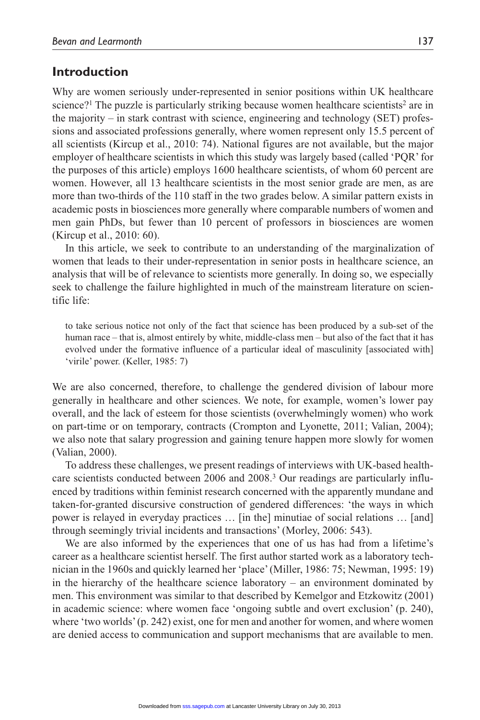### **Introduction**

Why are women seriously under-represented in senior positions within UK healthcare science?<sup>1</sup> The puzzle is particularly striking because women healthcare scientists<sup>2</sup> are in the majority – in stark contrast with science, engineering and technology (SET) professions and associated professions generally, where women represent only 15.5 percent of all scientists (Kircup et al., 2010: 74). National figures are not available, but the major employer of healthcare scientists in which this study was largely based (called 'PQR' for the purposes of this article) employs 1600 healthcare scientists, of whom 60 percent are women. However, all 13 healthcare scientists in the most senior grade are men, as are more than two-thirds of the 110 staff in the two grades below. A similar pattern exists in academic posts in biosciences more generally where comparable numbers of women and men gain PhDs, but fewer than 10 percent of professors in biosciences are women (Kircup et al., 2010: 60).

In this article, we seek to contribute to an understanding of the marginalization of women that leads to their under-representation in senior posts in healthcare science, an analysis that will be of relevance to scientists more generally. In doing so, we especially seek to challenge the failure highlighted in much of the mainstream literature on scientific life:

to take serious notice not only of the fact that science has been produced by a sub-set of the human race – that is, almost entirely by white, middle-class men – but also of the fact that it has evolved under the formative influence of a particular ideal of masculinity [associated with] 'virile' power. (Keller, 1985: 7)

We are also concerned, therefore, to challenge the gendered division of labour more generally in healthcare and other sciences. We note, for example, women's lower pay overall, and the lack of esteem for those scientists (overwhelmingly women) who work on part-time or on temporary, contracts (Crompton and Lyonette, 2011; Valian, 2004); we also note that salary progression and gaining tenure happen more slowly for women (Valian, 2000).

To address these challenges, we present readings of interviews with UK-based healthcare scientists conducted between 2006 and 2008.3 Our readings are particularly influenced by traditions within feminist research concerned with the apparently mundane and taken-for-granted discursive construction of gendered differences: 'the ways in which power is relayed in everyday practices … [in the] minutiae of social relations … [and] through seemingly trivial incidents and transactions' (Morley, 2006: 543).

We are also informed by the experiences that one of us has had from a lifetime's career as a healthcare scientist herself. The first author started work as a laboratory technician in the 1960s and quickly learned her 'place' (Miller, 1986: 75; Newman, 1995: 19) in the hierarchy of the healthcare science laboratory – an environment dominated by men. This environment was similar to that described by Kemelgor and Etzkowitz (2001) in academic science: where women face 'ongoing subtle and overt exclusion' (p. 240), where 'two worlds' (p. 242) exist, one for men and another for women, and where women are denied access to communication and support mechanisms that are available to men.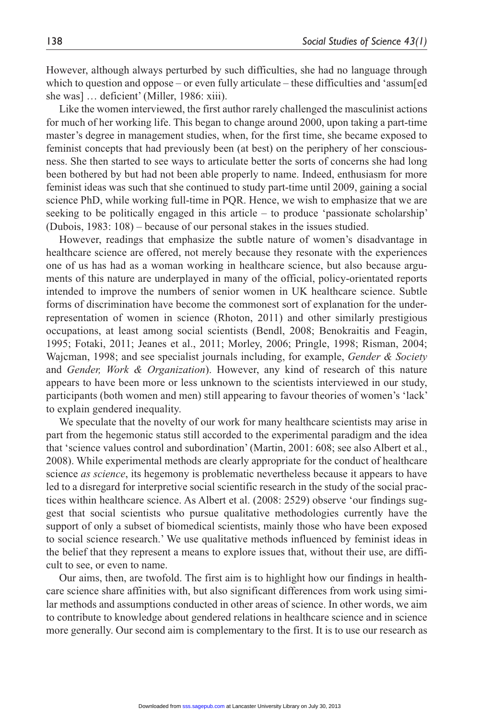However, although always perturbed by such difficulties, she had no language through which to question and oppose – or even fully articulate – these difficulties and 'assum[ed she was] ... deficient' (Miller, 1986: xiii).

Like the women interviewed, the first author rarely challenged the masculinist actions for much of her working life. This began to change around 2000, upon taking a part-time master's degree in management studies, when, for the first time, she became exposed to feminist concepts that had previously been (at best) on the periphery of her consciousness. She then started to see ways to articulate better the sorts of concerns she had long been bothered by but had not been able properly to name. Indeed, enthusiasm for more feminist ideas was such that she continued to study part-time until 2009, gaining a social science PhD, while working full-time in PQR. Hence, we wish to emphasize that we are seeking to be politically engaged in this article – to produce 'passionate scholarship' (Dubois, 1983: 108) – because of our personal stakes in the issues studied.

However, readings that emphasize the subtle nature of women's disadvantage in healthcare science are offered, not merely because they resonate with the experiences one of us has had as a woman working in healthcare science, but also because arguments of this nature are underplayed in many of the official, policy-orientated reports intended to improve the numbers of senior women in UK healthcare science. Subtle forms of discrimination have become the commonest sort of explanation for the underrepresentation of women in science (Rhoton, 2011) and other similarly prestigious occupations, at least among social scientists (Bendl, 2008; Benokraitis and Feagin, 1995; Fotaki, 2011; Jeanes et al., 2011; Morley, 2006; Pringle, 1998; Risman, 2004; Wajcman, 1998; and see specialist journals including, for example, *Gender & Society* and *Gender, Work & Organization*). However, any kind of research of this nature appears to have been more or less unknown to the scientists interviewed in our study, participants (both women and men) still appearing to favour theories of women's 'lack' to explain gendered inequality.

We speculate that the novelty of our work for many healthcare scientists may arise in part from the hegemonic status still accorded to the experimental paradigm and the idea that 'science values control and subordination' (Martin, 2001: 608; see also Albert et al., 2008). While experimental methods are clearly appropriate for the conduct of healthcare science *as science*, its hegemony is problematic nevertheless because it appears to have led to a disregard for interpretive social scientific research in the study of the social practices within healthcare science. As Albert et al. (2008: 2529) observe 'our findings suggest that social scientists who pursue qualitative methodologies currently have the support of only a subset of biomedical scientists, mainly those who have been exposed to social science research.' We use qualitative methods influenced by feminist ideas in the belief that they represent a means to explore issues that, without their use, are difficult to see, or even to name.

Our aims, then, are twofold. The first aim is to highlight how our findings in healthcare science share affinities with, but also significant differences from work using similar methods and assumptions conducted in other areas of science. In other words, we aim to contribute to knowledge about gendered relations in healthcare science and in science more generally. Our second aim is complementary to the first. It is to use our research as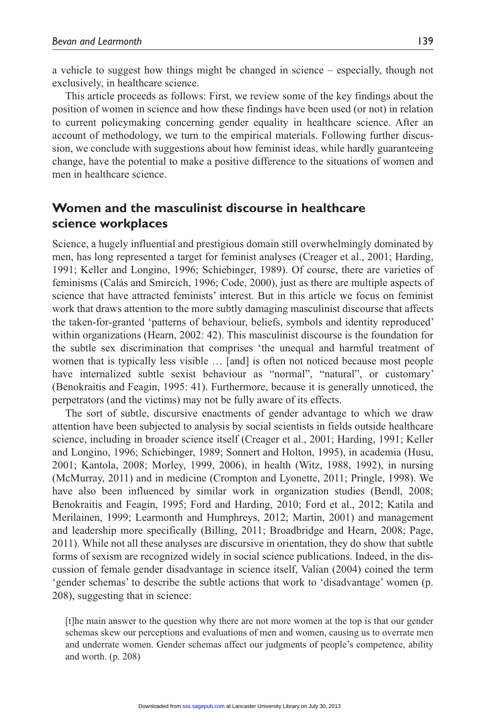a vehicle to suggest how things might be changed in science – especially, though not exclusively, in healthcare science.

This article proceeds as follows: First, we review some of the key findings about the position of women in science and how these findings have been used (or not) in relation to current policymaking concerning gender equality in healthcare science. After an account of methodology, we turn to the empirical materials. Following further discussion, we conclude with suggestions about how feminist ideas, while hardly guaranteeing change, have the potential to make a positive difference to the situations of women and men in healthcare science.

# **Women and the masculinist discourse in healthcare science workplaces**

Science, a hugely influential and prestigious domain still overwhelmingly dominated by men, has long represented a target for feminist analyses (Creager et al., 2001; Harding, 1991; Keller and Longino, 1996; Schiebinger, 1989). Of course, there are varieties of feminisms (Calás and Smircich, 1996; Code, 2000), just as there are multiple aspects of science that have attracted feminists' interest. But in this article we focus on feminist work that draws attention to the more subtly damaging masculinist discourse that affects the taken-for-granted 'patterns of behaviour, beliefs, symbols and identity reproduced' within organizations (Hearn, 2002: 42). This masculinist discourse is the foundation for the subtle sex discrimination that comprises 'the unequal and harmful treatment of women that is typically less visible … [and] is often not noticed because most people have internalized subtle sexist behaviour as "normal", "natural", or customary' (Benokraitis and Feagin, 1995: 41). Furthermore, because it is generally unnoticed, the perpetrators (and the victims) may not be fully aware of its effects.

The sort of subtle, discursive enactments of gender advantage to which we draw attention have been subjected to analysis by social scientists in fields outside healthcare science, including in broader science itself (Creager et al., 2001; Harding, 1991; Keller and Longino, 1996; Schiebinger, 1989; Sonnert and Holton, 1995), in academia (Husu, 2001; Kantola, 2008; Morley, 1999, 2006), in health (Witz, 1988, 1992), in nursing (McMurray, 2011) and in medicine (Crompton and Lyonette, 2011; Pringle, 1998). We have also been influenced by similar work in organization studies (Bendl, 2008; Benokraitis and Feagin, 1995; Ford and Harding, 2010; Ford et al., 2012; Katila and Merilainen, 1999; Learmonth and Humphreys, 2012; Martin, 2001) and management and leadership more specifically (Billing, 2011; Broadbridge and Hearn, 2008; Page, 2011). While not all these analyses are discursive in orientation, they do show that subtle forms of sexism are recognized widely in social science publications. Indeed, in the discussion of female gender disadvantage in science itself, Valian (2004) coined the term 'gender schemas' to describe the subtle actions that work to 'disadvantage' women (p. 208), suggesting that in science:

[t]he main answer to the question why there are not more women at the top is that our gender schemas skew our perceptions and evaluations of men and women, causing us to overrate men and underrate women. Gender schemas affect our judgments of people's competence, ability and worth. (p. 208)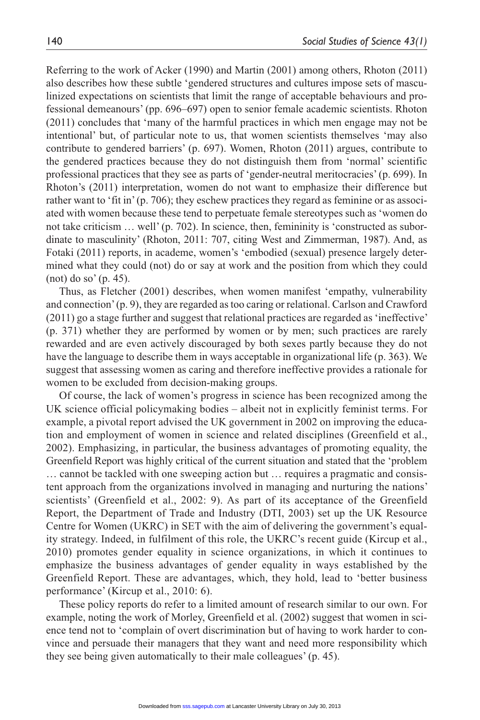Referring to the work of Acker (1990) and Martin (2001) among others, Rhoton (2011) also describes how these subtle 'gendered structures and cultures impose sets of masculinized expectations on scientists that limit the range of acceptable behaviours and professional demeanours' (pp. 696–697) open to senior female academic scientists. Rhoton (2011) concludes that 'many of the harmful practices in which men engage may not be intentional' but, of particular note to us, that women scientists themselves 'may also contribute to gendered barriers' (p. 697). Women, Rhoton (2011) argues, contribute to the gendered practices because they do not distinguish them from 'normal' scientific professional practices that they see as parts of 'gender-neutral meritocracies' (p. 699). In Rhoton's (2011) interpretation, women do not want to emphasize their difference but rather want to 'fit in' (p. 706); they eschew practices they regard as feminine or as associated with women because these tend to perpetuate female stereotypes such as 'women do not take criticism … well' (p. 702). In science, then, femininity is 'constructed as subordinate to masculinity' (Rhoton, 2011: 707, citing West and Zimmerman, 1987). And, as Fotaki (2011) reports, in academe, women's 'embodied (sexual) presence largely determined what they could (not) do or say at work and the position from which they could (not) do so' (p. 45).

Thus, as Fletcher (2001) describes, when women manifest 'empathy, vulnerability and connection' (p. 9), they are regarded as too caring or relational. Carlson and Crawford (2011) go a stage further and suggest that relational practices are regarded as 'ineffective' (p. 371) whether they are performed by women or by men; such practices are rarely rewarded and are even actively discouraged by both sexes partly because they do not have the language to describe them in ways acceptable in organizational life (p. 363). We suggest that assessing women as caring and therefore ineffective provides a rationale for women to be excluded from decision-making groups.

Of course, the lack of women's progress in science has been recognized among the UK science official policymaking bodies – albeit not in explicitly feminist terms. For example, a pivotal report advised the UK government in 2002 on improving the education and employment of women in science and related disciplines (Greenfield et al., 2002). Emphasizing, in particular, the business advantages of promoting equality, the Greenfield Report was highly critical of the current situation and stated that the 'problem … cannot be tackled with one sweeping action but … requires a pragmatic and consistent approach from the organizations involved in managing and nurturing the nations' scientists' (Greenfield et al., 2002: 9). As part of its acceptance of the Greenfield Report, the Department of Trade and Industry (DTI, 2003) set up the UK Resource Centre for Women (UKRC) in SET with the aim of delivering the government's equality strategy. Indeed, in fulfilment of this role, the UKRC's recent guide (Kircup et al., 2010) promotes gender equality in science organizations, in which it continues to emphasize the business advantages of gender equality in ways established by the Greenfield Report. These are advantages, which, they hold, lead to 'better business performance' (Kircup et al., 2010: 6).

These policy reports do refer to a limited amount of research similar to our own. For example, noting the work of Morley, Greenfield et al. (2002) suggest that women in science tend not to 'complain of overt discrimination but of having to work harder to convince and persuade their managers that they want and need more responsibility which they see being given automatically to their male colleagues' (p. 45).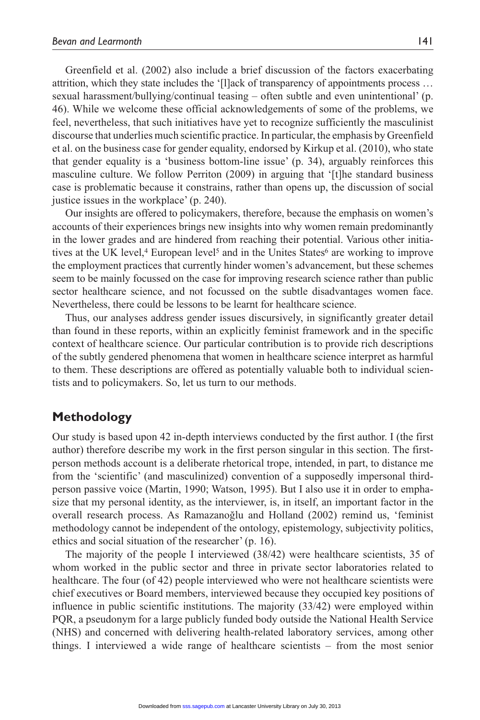Greenfield et al. (2002) also include a brief discussion of the factors exacerbating attrition, which they state includes the '[l]ack of transparency of appointments process … sexual harassment/bullying/continual teasing – often subtle and even unintentional' (p. 46). While we welcome these official acknowledgements of some of the problems, we feel, nevertheless, that such initiatives have yet to recognize sufficiently the masculinist discourse that underlies much scientific practice. In particular, the emphasis by Greenfield et al. on the business case for gender equality, endorsed by Kirkup et al. (2010), who state that gender equality is a 'business bottom-line issue' (p. 34), arguably reinforces this masculine culture. We follow Perriton (2009) in arguing that '[t]he standard business case is problematic because it constrains, rather than opens up, the discussion of social justice issues in the workplace' (p. 240).

Our insights are offered to policymakers, therefore, because the emphasis on women's accounts of their experiences brings new insights into why women remain predominantly in the lower grades and are hindered from reaching their potential. Various other initiatives at the UK level,<sup>4</sup> European level<sup>5</sup> and in the Unites States<sup>6</sup> are working to improve the employment practices that currently hinder women's advancement, but these schemes seem to be mainly focussed on the case for improving research science rather than public sector healthcare science, and not focussed on the subtle disadvantages women face. Nevertheless, there could be lessons to be learnt for healthcare science.

Thus, our analyses address gender issues discursively, in significantly greater detail than found in these reports, within an explicitly feminist framework and in the specific context of healthcare science. Our particular contribution is to provide rich descriptions of the subtly gendered phenomena that women in healthcare science interpret as harmful to them. These descriptions are offered as potentially valuable both to individual scientists and to policymakers. So, let us turn to our methods.

# **Methodology**

Our study is based upon 42 in-depth interviews conducted by the first author. I (the first author) therefore describe my work in the first person singular in this section. The firstperson methods account is a deliberate rhetorical trope, intended, in part, to distance me from the 'scientific' (and masculinized) convention of a supposedly impersonal thirdperson passive voice (Martin, 1990; Watson, 1995). But I also use it in order to emphasize that my personal identity, as the interviewer, is, in itself, an important factor in the overall research process. As Ramazanoğlu and Holland (2002) remind us, 'feminist methodology cannot be independent of the ontology, epistemology, subjectivity politics, ethics and social situation of the researcher' (p. 16).

The majority of the people I interviewed (38/42) were healthcare scientists, 35 of whom worked in the public sector and three in private sector laboratories related to healthcare. The four (of 42) people interviewed who were not healthcare scientists were chief executives or Board members, interviewed because they occupied key positions of influence in public scientific institutions. The majority (33/42) were employed within PQR, a pseudonym for a large publicly funded body outside the National Health Service (NHS) and concerned with delivering health-related laboratory services, among other things. I interviewed a wide range of healthcare scientists – from the most senior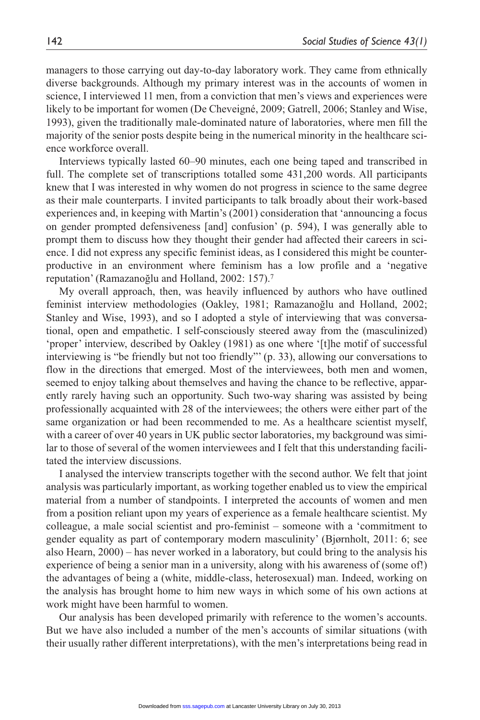managers to those carrying out day-to-day laboratory work. They came from ethnically diverse backgrounds. Although my primary interest was in the accounts of women in science, I interviewed 11 men, from a conviction that men's views and experiences were likely to be important for women (De Cheveigné, 2009; Gatrell, 2006; Stanley and Wise, 1993), given the traditionally male-dominated nature of laboratories, where men fill the majority of the senior posts despite being in the numerical minority in the healthcare science workforce overall.

Interviews typically lasted 60–90 minutes, each one being taped and transcribed in full. The complete set of transcriptions totalled some 431,200 words. All participants knew that I was interested in why women do not progress in science to the same degree as their male counterparts. I invited participants to talk broadly about their work-based experiences and, in keeping with Martin's (2001) consideration that 'announcing a focus on gender prompted defensiveness [and] confusion' (p. 594), I was generally able to prompt them to discuss how they thought their gender had affected their careers in science. I did not express any specific feminist ideas, as I considered this might be counterproductive in an environment where feminism has a low profile and a 'negative reputation' (Ramazanoğlu and Holland, 2002: 157).7

My overall approach, then, was heavily influenced by authors who have outlined feminist interview methodologies (Oakley, 1981; Ramazanoğlu and Holland, 2002; Stanley and Wise, 1993), and so I adopted a style of interviewing that was conversational, open and empathetic. I self-consciously steered away from the (masculinized) 'proper' interview, described by Oakley (1981) as one where '[t]he motif of successful interviewing is "be friendly but not too friendly"' (p. 33), allowing our conversations to flow in the directions that emerged. Most of the interviewees, both men and women, seemed to enjoy talking about themselves and having the chance to be reflective, apparently rarely having such an opportunity. Such two-way sharing was assisted by being professionally acquainted with 28 of the interviewees; the others were either part of the same organization or had been recommended to me. As a healthcare scientist myself, with a career of over 40 years in UK public sector laboratories, my background was similar to those of several of the women interviewees and I felt that this understanding facilitated the interview discussions.

I analysed the interview transcripts together with the second author. We felt that joint analysis was particularly important, as working together enabled us to view the empirical material from a number of standpoints. I interpreted the accounts of women and men from a position reliant upon my years of experience as a female healthcare scientist. My colleague, a male social scientist and pro-feminist – someone with a 'commitment to gender equality as part of contemporary modern masculinity' (Bjørnholt, 2011: 6; see also Hearn, 2000) – has never worked in a laboratory, but could bring to the analysis his experience of being a senior man in a university, along with his awareness of (some of!) the advantages of being a (white, middle-class, heterosexual) man. Indeed, working on the analysis has brought home to him new ways in which some of his own actions at work might have been harmful to women.

Our analysis has been developed primarily with reference to the women's accounts. But we have also included a number of the men's accounts of similar situations (with their usually rather different interpretations), with the men's interpretations being read in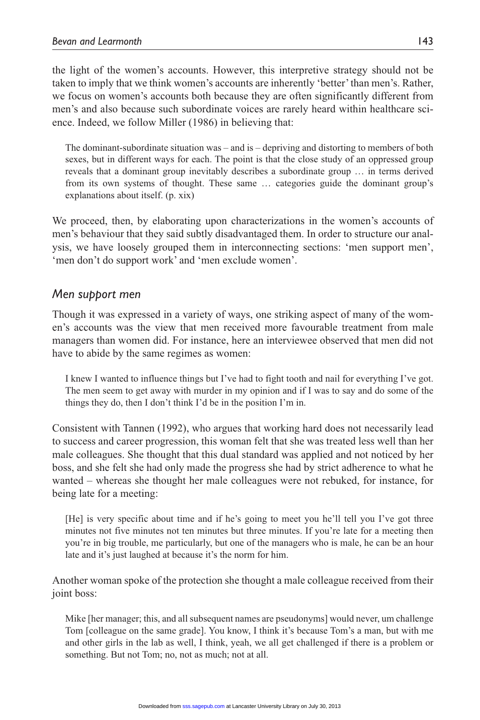the light of the women's accounts. However, this interpretive strategy should not be taken to imply that we think women's accounts are inherently 'better' than men's. Rather, we focus on women's accounts both because they are often significantly different from men's and also because such subordinate voices are rarely heard within healthcare science. Indeed, we follow Miller (1986) in believing that:

The dominant-subordinate situation was – and is – depriving and distorting to members of both sexes, but in different ways for each. The point is that the close study of an oppressed group reveals that a dominant group inevitably describes a subordinate group … in terms derived from its own systems of thought. These same … categories guide the dominant group's explanations about itself. (p. xix)

We proceed, then, by elaborating upon characterizations in the women's accounts of men's behaviour that they said subtly disadvantaged them. In order to structure our analysis, we have loosely grouped them in interconnecting sections: 'men support men', 'men don't do support work' and 'men exclude women'.

# *Men support men*

Though it was expressed in a variety of ways, one striking aspect of many of the women's accounts was the view that men received more favourable treatment from male managers than women did. For instance, here an interviewee observed that men did not have to abide by the same regimes as women:

I knew I wanted to influence things but I've had to fight tooth and nail for everything I've got. The men seem to get away with murder in my opinion and if I was to say and do some of the things they do, then I don't think I'd be in the position I'm in.

Consistent with Tannen (1992), who argues that working hard does not necessarily lead to success and career progression, this woman felt that she was treated less well than her male colleagues. She thought that this dual standard was applied and not noticed by her boss, and she felt she had only made the progress she had by strict adherence to what he wanted – whereas she thought her male colleagues were not rebuked, for instance, for being late for a meeting:

[He] is very specific about time and if he's going to meet you he'll tell you I've got three minutes not five minutes not ten minutes but three minutes. If you're late for a meeting then you're in big trouble, me particularly, but one of the managers who is male, he can be an hour late and it's just laughed at because it's the norm for him.

Another woman spoke of the protection she thought a male colleague received from their joint boss:

Mike [her manager; this, and all subsequent names are pseudonyms] would never, um challenge Tom [colleague on the same grade]. You know, I think it's because Tom's a man, but with me and other girls in the lab as well, I think, yeah, we all get challenged if there is a problem or something. But not Tom; no, not as much; not at all.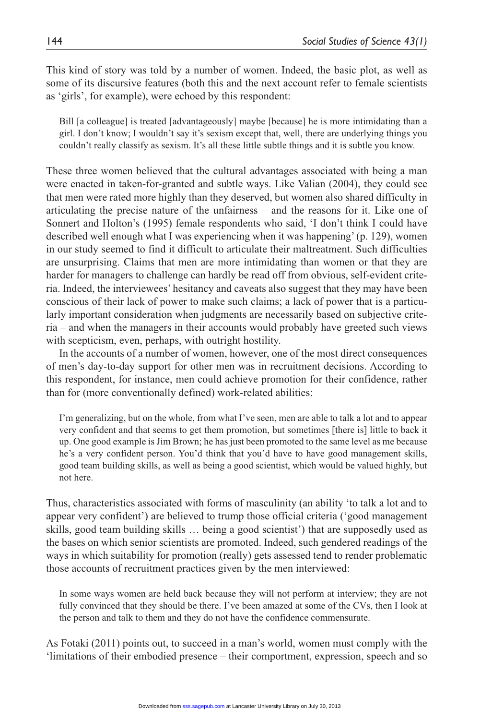This kind of story was told by a number of women. Indeed, the basic plot, as well as some of its discursive features (both this and the next account refer to female scientists as 'girls', for example), were echoed by this respondent:

Bill [a colleague] is treated [advantageously] maybe [because] he is more intimidating than a girl. I don't know; I wouldn't say it's sexism except that, well, there are underlying things you couldn't really classify as sexism. It's all these little subtle things and it is subtle you know.

These three women believed that the cultural advantages associated with being a man were enacted in taken-for-granted and subtle ways. Like Valian (2004), they could see that men were rated more highly than they deserved, but women also shared difficulty in articulating the precise nature of the unfairness – and the reasons for it. Like one of Sonnert and Holton's (1995) female respondents who said, 'I don't think I could have described well enough what I was experiencing when it was happening' (p. 129), women in our study seemed to find it difficult to articulate their maltreatment. Such difficulties are unsurprising. Claims that men are more intimidating than women or that they are harder for managers to challenge can hardly be read off from obvious, self-evident criteria. Indeed, the interviewees' hesitancy and caveats also suggest that they may have been conscious of their lack of power to make such claims; a lack of power that is a particularly important consideration when judgments are necessarily based on subjective criteria – and when the managers in their accounts would probably have greeted such views with scepticism, even, perhaps, with outright hostility.

In the accounts of a number of women, however, one of the most direct consequences of men's day-to-day support for other men was in recruitment decisions. According to this respondent, for instance, men could achieve promotion for their confidence, rather than for (more conventionally defined) work-related abilities:

I'm generalizing, but on the whole, from what I've seen, men are able to talk a lot and to appear very confident and that seems to get them promotion, but sometimes [there is] little to back it up. One good example is Jim Brown; he has just been promoted to the same level as me because he's a very confident person. You'd think that you'd have to have good management skills, good team building skills, as well as being a good scientist, which would be valued highly, but not here.

Thus, characteristics associated with forms of masculinity (an ability 'to talk a lot and to appear very confident') are believed to trump those official criteria ('good management skills, good team building skills … being a good scientist') that are supposedly used as the bases on which senior scientists are promoted. Indeed, such gendered readings of the ways in which suitability for promotion (really) gets assessed tend to render problematic those accounts of recruitment practices given by the men interviewed:

In some ways women are held back because they will not perform at interview; they are not fully convinced that they should be there. I've been amazed at some of the CVs, then I look at the person and talk to them and they do not have the confidence commensurate.

As Fotaki (2011) points out, to succeed in a man's world, women must comply with the 'limitations of their embodied presence – their comportment, expression, speech and so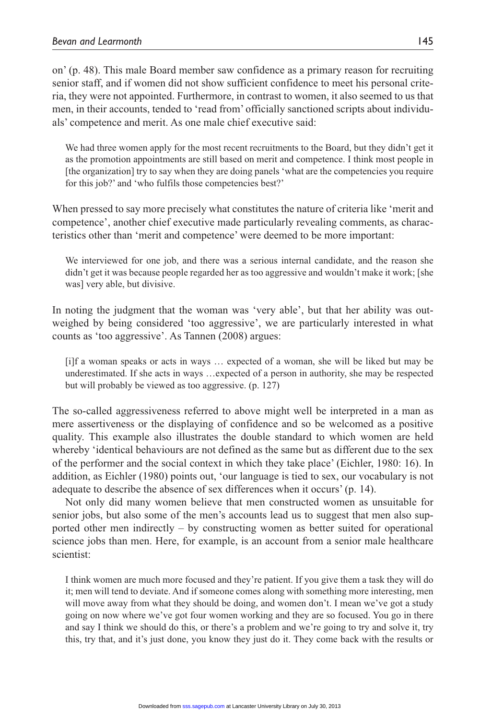on' (p. 48). This male Board member saw confidence as a primary reason for recruiting senior staff, and if women did not show sufficient confidence to meet his personal criteria, they were not appointed. Furthermore, in contrast to women, it also seemed to us that men, in their accounts, tended to 'read from' officially sanctioned scripts about individuals' competence and merit. As one male chief executive said:

We had three women apply for the most recent recruitments to the Board, but they didn't get it as the promotion appointments are still based on merit and competence. I think most people in [the organization] try to say when they are doing panels 'what are the competencies you require for this job?' and 'who fulfils those competencies best?'

When pressed to say more precisely what constitutes the nature of criteria like 'merit and competence', another chief executive made particularly revealing comments, as characteristics other than 'merit and competence' were deemed to be more important:

We interviewed for one job, and there was a serious internal candidate, and the reason she didn't get it was because people regarded her as too aggressive and wouldn't make it work; [she was] very able, but divisive.

In noting the judgment that the woman was 'very able', but that her ability was outweighed by being considered 'too aggressive', we are particularly interested in what counts as 'too aggressive'. As Tannen (2008) argues:

[i]f a woman speaks or acts in ways … expected of a woman, she will be liked but may be underestimated. If she acts in ways …expected of a person in authority, she may be respected but will probably be viewed as too aggressive. (p. 127)

The so-called aggressiveness referred to above might well be interpreted in a man as mere assertiveness or the displaying of confidence and so be welcomed as a positive quality. This example also illustrates the double standard to which women are held whereby 'identical behaviours are not defined as the same but as different due to the sex of the performer and the social context in which they take place' (Eichler, 1980: 16). In addition, as Eichler (1980) points out, 'our language is tied to sex, our vocabulary is not adequate to describe the absence of sex differences when it occurs' (p. 14).

Not only did many women believe that men constructed women as unsuitable for senior jobs, but also some of the men's accounts lead us to suggest that men also supported other men indirectly – by constructing women as better suited for operational science jobs than men. Here, for example, is an account from a senior male healthcare scientist:

I think women are much more focused and they're patient. If you give them a task they will do it; men will tend to deviate. And if someone comes along with something more interesting, men will move away from what they should be doing, and women don't. I mean we've got a study going on now where we've got four women working and they are so focused. You go in there and say I think we should do this, or there's a problem and we're going to try and solve it, try this, try that, and it's just done, you know they just do it. They come back with the results or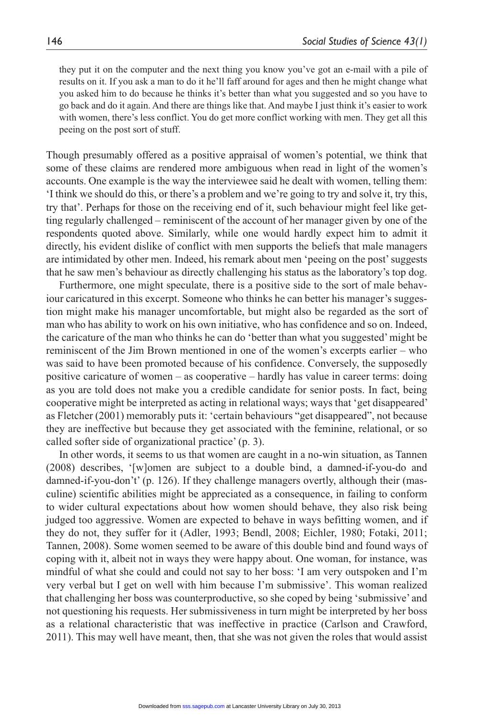they put it on the computer and the next thing you know you've got an e-mail with a pile of results on it. If you ask a man to do it he'll faff around for ages and then he might change what you asked him to do because he thinks it's better than what you suggested and so you have to go back and do it again. And there are things like that. And maybe I just think it's easier to work with women, there's less conflict. You do get more conflict working with men. They get all this peeing on the post sort of stuff.

Though presumably offered as a positive appraisal of women's potential, we think that some of these claims are rendered more ambiguous when read in light of the women's accounts. One example is the way the interviewee said he dealt with women, telling them: 'I think we should do this, or there's a problem and we're going to try and solve it, try this, try that'. Perhaps for those on the receiving end of it, such behaviour might feel like getting regularly challenged – reminiscent of the account of her manager given by one of the respondents quoted above. Similarly, while one would hardly expect him to admit it directly, his evident dislike of conflict with men supports the beliefs that male managers are intimidated by other men. Indeed, his remark about men 'peeing on the post' suggests that he saw men's behaviour as directly challenging his status as the laboratory's top dog.

Furthermore, one might speculate, there is a positive side to the sort of male behaviour caricatured in this excerpt. Someone who thinks he can better his manager's suggestion might make his manager uncomfortable, but might also be regarded as the sort of man who has ability to work on his own initiative, who has confidence and so on. Indeed, the caricature of the man who thinks he can do 'better than what you suggested' might be reminiscent of the Jim Brown mentioned in one of the women's excerpts earlier – who was said to have been promoted because of his confidence. Conversely, the supposedly positive caricature of women – as cooperative – hardly has value in career terms: doing as you are told does not make you a credible candidate for senior posts. In fact, being cooperative might be interpreted as acting in relational ways; ways that 'get disappeared' as Fletcher (2001) memorably puts it: 'certain behaviours "get disappeared", not because they are ineffective but because they get associated with the feminine, relational, or so called softer side of organizational practice' (p. 3).

In other words, it seems to us that women are caught in a no-win situation, as Tannen (2008) describes, '[w]omen are subject to a double bind, a damned-if-you-do and damned-if-you-don't' (p. 126). If they challenge managers overtly, although their (masculine) scientific abilities might be appreciated as a consequence, in failing to conform to wider cultural expectations about how women should behave, they also risk being judged too aggressive. Women are expected to behave in ways befitting women, and if they do not, they suffer for it (Adler, 1993; Bendl, 2008; Eichler, 1980; Fotaki, 2011; Tannen, 2008). Some women seemed to be aware of this double bind and found ways of coping with it, albeit not in ways they were happy about. One woman, for instance, was mindful of what she could and could not say to her boss: 'I am very outspoken and I'm very verbal but I get on well with him because I'm submissive'. This woman realized that challenging her boss was counterproductive, so she coped by being 'submissive' and not questioning his requests. Her submissiveness in turn might be interpreted by her boss as a relational characteristic that was ineffective in practice (Carlson and Crawford, 2011). This may well have meant, then, that she was not given the roles that would assist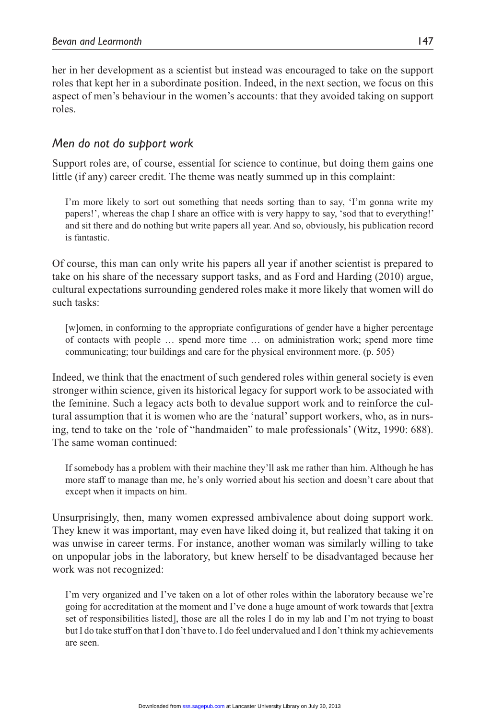her in her development as a scientist but instead was encouraged to take on the support roles that kept her in a subordinate position. Indeed, in the next section, we focus on this aspect of men's behaviour in the women's accounts: that they avoided taking on support roles.

# *Men do not do support work*

Support roles are, of course, essential for science to continue, but doing them gains one little (if any) career credit. The theme was neatly summed up in this complaint:

I'm more likely to sort out something that needs sorting than to say, 'I'm gonna write my papers!', whereas the chap I share an office with is very happy to say, 'sod that to everything!' and sit there and do nothing but write papers all year. And so, obviously, his publication record is fantastic.

Of course, this man can only write his papers all year if another scientist is prepared to take on his share of the necessary support tasks, and as Ford and Harding (2010) argue, cultural expectations surrounding gendered roles make it more likely that women will do such tasks:

[w]omen, in conforming to the appropriate configurations of gender have a higher percentage of contacts with people … spend more time … on administration work; spend more time communicating; tour buildings and care for the physical environment more. (p. 505)

Indeed, we think that the enactment of such gendered roles within general society is even stronger within science, given its historical legacy for support work to be associated with the feminine. Such a legacy acts both to devalue support work and to reinforce the cultural assumption that it is women who are the 'natural' support workers, who, as in nursing, tend to take on the 'role of "handmaiden" to male professionals' (Witz, 1990: 688). The same woman continued:

If somebody has a problem with their machine they'll ask me rather than him. Although he has more staff to manage than me, he's only worried about his section and doesn't care about that except when it impacts on him.

Unsurprisingly, then, many women expressed ambivalence about doing support work. They knew it was important, may even have liked doing it, but realized that taking it on was unwise in career terms. For instance, another woman was similarly willing to take on unpopular jobs in the laboratory, but knew herself to be disadvantaged because her work was not recognized:

I'm very organized and I've taken on a lot of other roles within the laboratory because we're going for accreditation at the moment and I've done a huge amount of work towards that [extra set of responsibilities listed], those are all the roles I do in my lab and I'm not trying to boast but I do take stuff on that I don't have to. I do feel undervalued and I don't think my achievements are seen.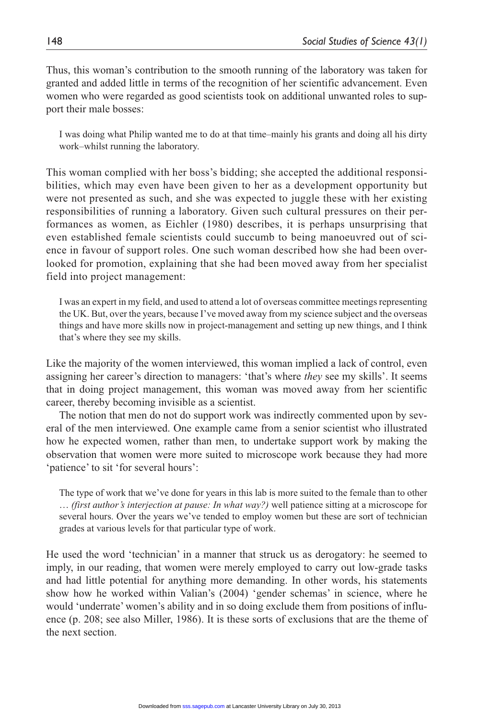Thus, this woman's contribution to the smooth running of the laboratory was taken for granted and added little in terms of the recognition of her scientific advancement. Even women who were regarded as good scientists took on additional unwanted roles to support their male bosses:

I was doing what Philip wanted me to do at that time–mainly his grants and doing all his dirty work–whilst running the laboratory.

This woman complied with her boss's bidding; she accepted the additional responsibilities, which may even have been given to her as a development opportunity but were not presented as such, and she was expected to juggle these with her existing responsibilities of running a laboratory. Given such cultural pressures on their performances as women, as Eichler (1980) describes, it is perhaps unsurprising that even established female scientists could succumb to being manoeuvred out of science in favour of support roles. One such woman described how she had been overlooked for promotion, explaining that she had been moved away from her specialist field into project management:

I was an expert in my field, and used to attend a lot of overseas committee meetings representing the UK. But, over the years, because I've moved away from my science subject and the overseas things and have more skills now in project-management and setting up new things, and I think that's where they see my skills.

Like the majority of the women interviewed, this woman implied a lack of control, even assigning her career's direction to managers: 'that's where *they* see my skills'. It seems that in doing project management, this woman was moved away from her scientific career, thereby becoming invisible as a scientist.

The notion that men do not do support work was indirectly commented upon by several of the men interviewed. One example came from a senior scientist who illustrated how he expected women, rather than men, to undertake support work by making the observation that women were more suited to microscope work because they had more 'patience' to sit 'for several hours':

The type of work that we've done for years in this lab is more suited to the female than to other … *(first author's interjection at pause: In what way?)* well patience sitting at a microscope for several hours. Over the years we've tended to employ women but these are sort of technician grades at various levels for that particular type of work.

He used the word 'technician' in a manner that struck us as derogatory: he seemed to imply, in our reading, that women were merely employed to carry out low-grade tasks and had little potential for anything more demanding. In other words, his statements show how he worked within Valian's (2004) 'gender schemas' in science, where he would 'underrate' women's ability and in so doing exclude them from positions of influence (p. 208; see also Miller, 1986). It is these sorts of exclusions that are the theme of the next section.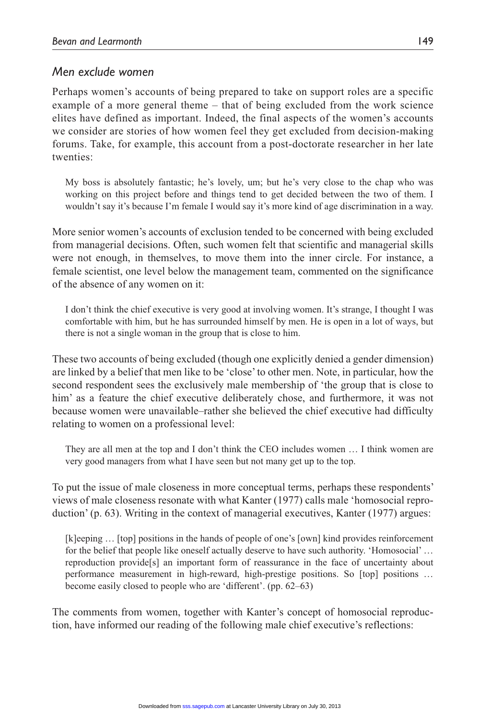# *Men exclude women*

Perhaps women's accounts of being prepared to take on support roles are a specific example of a more general theme – that of being excluded from the work science elites have defined as important. Indeed, the final aspects of the women's accounts we consider are stories of how women feel they get excluded from decision-making forums. Take, for example, this account from a post-doctorate researcher in her late twenties:

My boss is absolutely fantastic; he's lovely, um; but he's very close to the chap who was working on this project before and things tend to get decided between the two of them. I wouldn't say it's because I'm female I would say it's more kind of age discrimination in a way.

More senior women's accounts of exclusion tended to be concerned with being excluded from managerial decisions. Often, such women felt that scientific and managerial skills were not enough, in themselves, to move them into the inner circle. For instance, a female scientist, one level below the management team, commented on the significance of the absence of any women on it:

I don't think the chief executive is very good at involving women. It's strange, I thought I was comfortable with him, but he has surrounded himself by men. He is open in a lot of ways, but there is not a single woman in the group that is close to him.

These two accounts of being excluded (though one explicitly denied a gender dimension) are linked by a belief that men like to be 'close' to other men. Note, in particular, how the second respondent sees the exclusively male membership of 'the group that is close to him' as a feature the chief executive deliberately chose, and furthermore, it was not because women were unavailable–rather she believed the chief executive had difficulty relating to women on a professional level:

They are all men at the top and I don't think the CEO includes women … I think women are very good managers from what I have seen but not many get up to the top.

To put the issue of male closeness in more conceptual terms, perhaps these respondents' views of male closeness resonate with what Kanter (1977) calls male 'homosocial reproduction' (p. 63). Writing in the context of managerial executives, Kanter (1977) argues:

[k]eeping … [top] positions in the hands of people of one's [own] kind provides reinforcement for the belief that people like oneself actually deserve to have such authority. 'Homosocial' … reproduction provide[s] an important form of reassurance in the face of uncertainty about performance measurement in high-reward, high-prestige positions. So [top] positions … become easily closed to people who are 'different'. (pp. 62–63)

The comments from women, together with Kanter's concept of homosocial reproduction, have informed our reading of the following male chief executive's reflections: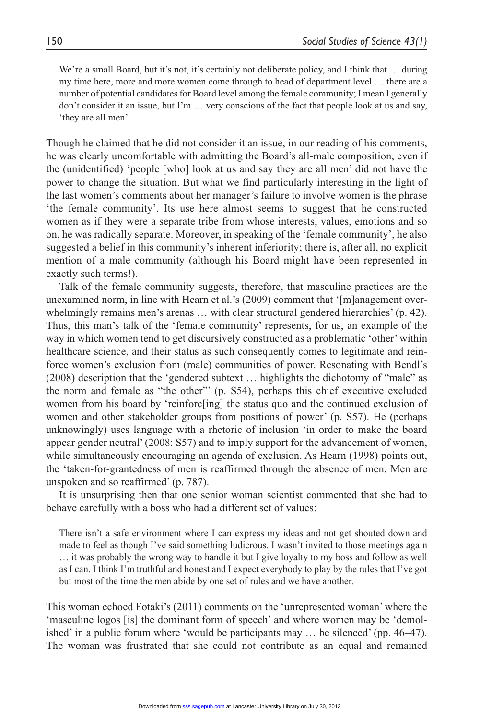We're a small Board, but it's not, it's certainly not deliberate policy, and I think that ... during my time here, more and more women come through to head of department level … there are a number of potential candidates for Board level among the female community; I mean I generally don't consider it an issue, but I'm … very conscious of the fact that people look at us and say, 'they are all men'.

Though he claimed that he did not consider it an issue, in our reading of his comments, he was clearly uncomfortable with admitting the Board's all-male composition, even if the (unidentified) 'people [who] look at us and say they are all men' did not have the power to change the situation. But what we find particularly interesting in the light of the last women's comments about her manager's failure to involve women is the phrase 'the female community'. Its use here almost seems to suggest that he constructed women as if they were a separate tribe from whose interests, values, emotions and so on, he was radically separate. Moreover, in speaking of the 'female community', he also suggested a belief in this community's inherent inferiority; there is, after all, no explicit mention of a male community (although his Board might have been represented in exactly such terms!).

Talk of the female community suggests, therefore, that masculine practices are the unexamined norm, in line with Hearn et al.'s (2009) comment that '[m]anagement overwhelmingly remains men's arenas ... with clear structural gendered hierarchies' (p. 42). Thus, this man's talk of the 'female community' represents, for us, an example of the way in which women tend to get discursively constructed as a problematic 'other' within healthcare science, and their status as such consequently comes to legitimate and reinforce women's exclusion from (male) communities of power. Resonating with Bendl's (2008) description that the 'gendered subtext … highlights the dichotomy of "male" as the norm and female as "the other"' (p. S54), perhaps this chief executive excluded women from his board by 'reinforc[ing] the status quo and the continued exclusion of women and other stakeholder groups from positions of power' (p. S57). He (perhaps unknowingly) uses language with a rhetoric of inclusion 'in order to make the board appear gender neutral' (2008: S57) and to imply support for the advancement of women, while simultaneously encouraging an agenda of exclusion. As Hearn (1998) points out, the 'taken-for-grantedness of men is reaffirmed through the absence of men. Men are unspoken and so reaffirmed' (p. 787).

It is unsurprising then that one senior woman scientist commented that she had to behave carefully with a boss who had a different set of values:

There isn't a safe environment where I can express my ideas and not get shouted down and made to feel as though I've said something ludicrous. I wasn't invited to those meetings again … it was probably the wrong way to handle it but I give loyalty to my boss and follow as well as I can. I think I'm truthful and honest and I expect everybody to play by the rules that I've got but most of the time the men abide by one set of rules and we have another.

This woman echoed Fotaki's (2011) comments on the 'unrepresented woman' where the 'masculine logos [is] the dominant form of speech' and where women may be 'demolished' in a public forum where 'would be participants may … be silenced' (pp. 46–47). The woman was frustrated that she could not contribute as an equal and remained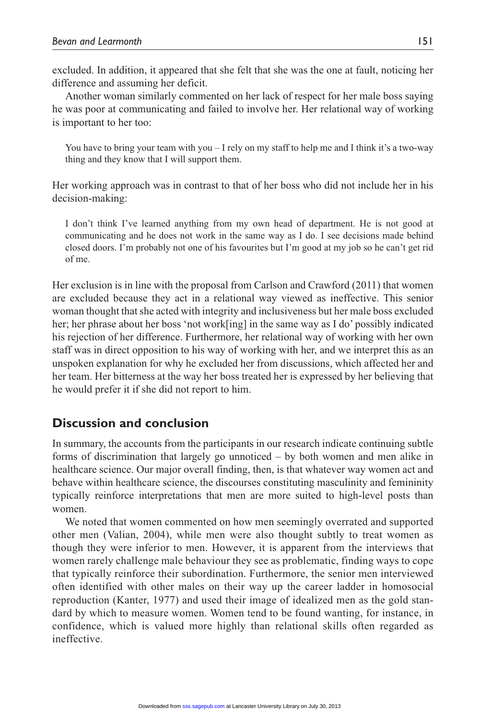excluded. In addition, it appeared that she felt that she was the one at fault, noticing her difference and assuming her deficit.

Another woman similarly commented on her lack of respect for her male boss saying he was poor at communicating and failed to involve her. Her relational way of working is important to her too:

You have to bring your team with you  $-I$  rely on my staff to help me and I think it's a two-way thing and they know that I will support them.

Her working approach was in contrast to that of her boss who did not include her in his decision-making:

I don't think I've learned anything from my own head of department. He is not good at communicating and he does not work in the same way as I do. I see decisions made behind closed doors. I'm probably not one of his favourites but I'm good at my job so he can't get rid of me.

Her exclusion is in line with the proposal from Carlson and Crawford (2011) that women are excluded because they act in a relational way viewed as ineffective. This senior woman thought that she acted with integrity and inclusiveness but her male boss excluded her; her phrase about her boss 'not work[ing] in the same way as I do' possibly indicated his rejection of her difference. Furthermore, her relational way of working with her own staff was in direct opposition to his way of working with her, and we interpret this as an unspoken explanation for why he excluded her from discussions, which affected her and her team. Her bitterness at the way her boss treated her is expressed by her believing that he would prefer it if she did not report to him.

# **Discussion and conclusion**

In summary, the accounts from the participants in our research indicate continuing subtle forms of discrimination that largely go unnoticed – by both women and men alike in healthcare science. Our major overall finding, then, is that whatever way women act and behave within healthcare science, the discourses constituting masculinity and femininity typically reinforce interpretations that men are more suited to high-level posts than women.

We noted that women commented on how men seemingly overrated and supported other men (Valian, 2004), while men were also thought subtly to treat women as though they were inferior to men. However, it is apparent from the interviews that women rarely challenge male behaviour they see as problematic, finding ways to cope that typically reinforce their subordination. Furthermore, the senior men interviewed often identified with other males on their way up the career ladder in homosocial reproduction (Kanter, 1977) and used their image of idealized men as the gold standard by which to measure women. Women tend to be found wanting, for instance, in confidence, which is valued more highly than relational skills often regarded as ineffective.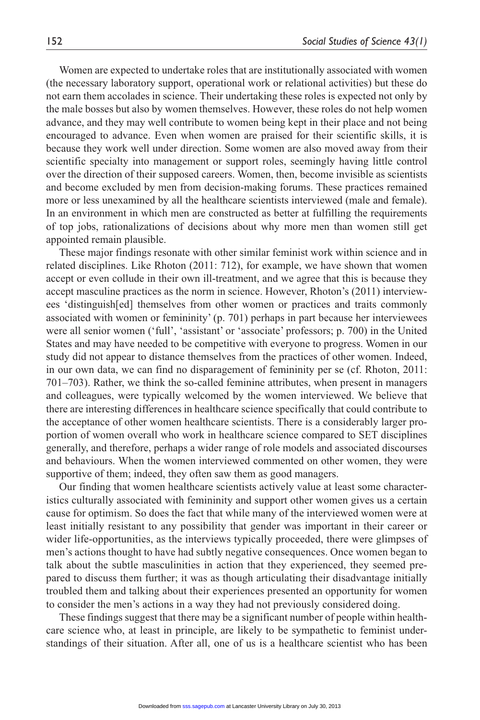Women are expected to undertake roles that are institutionally associated with women (the necessary laboratory support, operational work or relational activities) but these do not earn them accolades in science. Their undertaking these roles is expected not only by the male bosses but also by women themselves. However, these roles do not help women advance, and they may well contribute to women being kept in their place and not being encouraged to advance. Even when women are praised for their scientific skills, it is because they work well under direction. Some women are also moved away from their scientific specialty into management or support roles, seemingly having little control over the direction of their supposed careers. Women, then, become invisible as scientists and become excluded by men from decision-making forums. These practices remained more or less unexamined by all the healthcare scientists interviewed (male and female). In an environment in which men are constructed as better at fulfilling the requirements of top jobs, rationalizations of decisions about why more men than women still get appointed remain plausible.

These major findings resonate with other similar feminist work within science and in related disciplines. Like Rhoton (2011: 712), for example, we have shown that women accept or even collude in their own ill-treatment, and we agree that this is because they accept masculine practices as the norm in science. However, Rhoton's (2011) interviewees 'distinguish[ed] themselves from other women or practices and traits commonly associated with women or femininity' (p. 701) perhaps in part because her interviewees were all senior women ('full', 'assistant' or 'associate' professors; p. 700) in the United States and may have needed to be competitive with everyone to progress. Women in our study did not appear to distance themselves from the practices of other women. Indeed, in our own data, we can find no disparagement of femininity per se (cf. Rhoton, 2011: 701–703). Rather, we think the so-called feminine attributes, when present in managers and colleagues, were typically welcomed by the women interviewed. We believe that there are interesting differences in healthcare science specifically that could contribute to the acceptance of other women healthcare scientists. There is a considerably larger proportion of women overall who work in healthcare science compared to SET disciplines generally, and therefore, perhaps a wider range of role models and associated discourses and behaviours. When the women interviewed commented on other women, they were supportive of them; indeed, they often saw them as good managers.

Our finding that women healthcare scientists actively value at least some characteristics culturally associated with femininity and support other women gives us a certain cause for optimism. So does the fact that while many of the interviewed women were at least initially resistant to any possibility that gender was important in their career or wider life-opportunities, as the interviews typically proceeded, there were glimpses of men's actions thought to have had subtly negative consequences. Once women began to talk about the subtle masculinities in action that they experienced, they seemed prepared to discuss them further; it was as though articulating their disadvantage initially troubled them and talking about their experiences presented an opportunity for women to consider the men's actions in a way they had not previously considered doing.

These findings suggest that there may be a significant number of people within healthcare science who, at least in principle, are likely to be sympathetic to feminist understandings of their situation. After all, one of us is a healthcare scientist who has been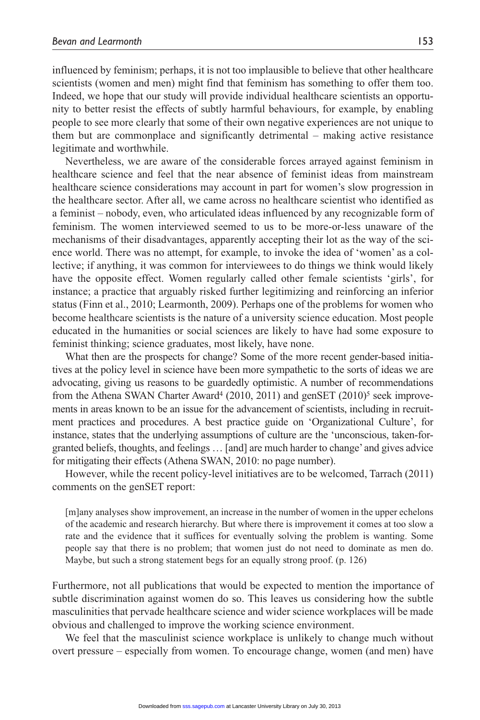influenced by feminism; perhaps, it is not too implausible to believe that other healthcare scientists (women and men) might find that feminism has something to offer them too. Indeed, we hope that our study will provide individual healthcare scientists an opportunity to better resist the effects of subtly harmful behaviours, for example, by enabling people to see more clearly that some of their own negative experiences are not unique to them but are commonplace and significantly detrimental – making active resistance legitimate and worthwhile.

Nevertheless, we are aware of the considerable forces arrayed against feminism in healthcare science and feel that the near absence of feminist ideas from mainstream healthcare science considerations may account in part for women's slow progression in the healthcare sector. After all, we came across no healthcare scientist who identified as a feminist – nobody, even, who articulated ideas influenced by any recognizable form of feminism. The women interviewed seemed to us to be more-or-less unaware of the mechanisms of their disadvantages, apparently accepting their lot as the way of the science world. There was no attempt, for example, to invoke the idea of 'women' as a collective; if anything, it was common for interviewees to do things we think would likely have the opposite effect. Women regularly called other female scientists 'girls', for instance; a practice that arguably risked further legitimizing and reinforcing an inferior status (Finn et al., 2010; Learmonth, 2009). Perhaps one of the problems for women who become healthcare scientists is the nature of a university science education. Most people educated in the humanities or social sciences are likely to have had some exposure to feminist thinking; science graduates, most likely, have none.

What then are the prospects for change? Some of the more recent gender-based initiatives at the policy level in science have been more sympathetic to the sorts of ideas we are advocating, giving us reasons to be guardedly optimistic. A number of recommendations from the Athena SWAN Charter Award<sup>4</sup> (2010, 2011) and genSET (2010)<sup>5</sup> seek improvements in areas known to be an issue for the advancement of scientists, including in recruitment practices and procedures. A best practice guide on 'Organizational Culture', for instance, states that the underlying assumptions of culture are the 'unconscious, taken-forgranted beliefs, thoughts, and feelings … [and] are much harder to change' and gives advice for mitigating their effects (Athena SWAN, 2010: no page number).

However, while the recent policy-level initiatives are to be welcomed, Tarrach (2011) comments on the genSET report:

[m]any analyses show improvement, an increase in the number of women in the upper echelons of the academic and research hierarchy. But where there is improvement it comes at too slow a rate and the evidence that it suffices for eventually solving the problem is wanting. Some people say that there is no problem; that women just do not need to dominate as men do. Maybe, but such a strong statement begs for an equally strong proof. (p. 126)

Furthermore, not all publications that would be expected to mention the importance of subtle discrimination against women do so. This leaves us considering how the subtle masculinities that pervade healthcare science and wider science workplaces will be made obvious and challenged to improve the working science environment.

We feel that the masculinist science workplace is unlikely to change much without overt pressure – especially from women. To encourage change, women (and men) have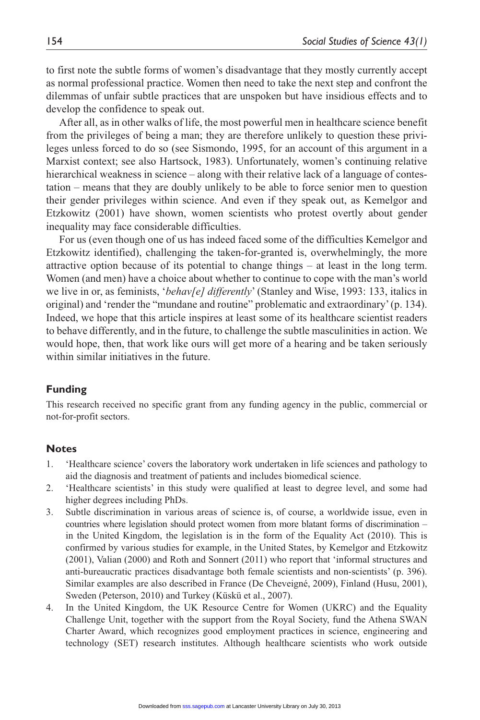to first note the subtle forms of women's disadvantage that they mostly currently accept as normal professional practice. Women then need to take the next step and confront the dilemmas of unfair subtle practices that are unspoken but have insidious effects and to develop the confidence to speak out.

After all, as in other walks of life, the most powerful men in healthcare science benefit from the privileges of being a man; they are therefore unlikely to question these privileges unless forced to do so (see Sismondo, 1995, for an account of this argument in a Marxist context; see also Hartsock, 1983). Unfortunately, women's continuing relative hierarchical weakness in science – along with their relative lack of a language of contestation – means that they are doubly unlikely to be able to force senior men to question their gender privileges within science. And even if they speak out, as Kemelgor and Etzkowitz (2001) have shown, women scientists who protest overtly about gender inequality may face considerable difficulties.

For us (even though one of us has indeed faced some of the difficulties Kemelgor and Etzkowitz identified), challenging the taken-for-granted is, overwhelmingly, the more attractive option because of its potential to change things – at least in the long term. Women (and men) have a choice about whether to continue to cope with the man's world we live in or, as feminists, '*behav[e] differently*' (Stanley and Wise, 1993: 133, italics in original) and 'render the "mundane and routine" problematic and extraordinary' (p. 134). Indeed, we hope that this article inspires at least some of its healthcare scientist readers to behave differently, and in the future, to challenge the subtle masculinities in action. We would hope, then, that work like ours will get more of a hearing and be taken seriously within similar initiatives in the future.

#### **Funding**

This research received no specific grant from any funding agency in the public, commercial or not-for-profit sectors.

#### **Notes**

- 1. 'Healthcare science' covers the laboratory work undertaken in life sciences and pathology to aid the diagnosis and treatment of patients and includes biomedical science.
- 2. 'Healthcare scientists' in this study were qualified at least to degree level, and some had higher degrees including PhDs.
- 3. Subtle discrimination in various areas of science is, of course, a worldwide issue, even in countries where legislation should protect women from more blatant forms of discrimination – in the United Kingdom, the legislation is in the form of the Equality Act (2010). This is confirmed by various studies for example, in the United States, by Kemelgor and Etzkowitz (2001), Valian (2000) and Roth and Sonnert (2011) who report that 'informal structures and anti-bureaucratic practices disadvantage both female scientists and non-scientists' (p. 396). Similar examples are also described in France (De Cheveigné, 2009), Finland (Husu, 2001), Sweden (Peterson, 2010) and Turkey (Küskü et al., 2007).
- 4. In the United Kingdom, the UK Resource Centre for Women (UKRC) and the Equality Challenge Unit, together with the support from the Royal Society, fund the Athena SWAN Charter Award, which recognizes good employment practices in science, engineering and technology (SET) research institutes. Although healthcare scientists who work outside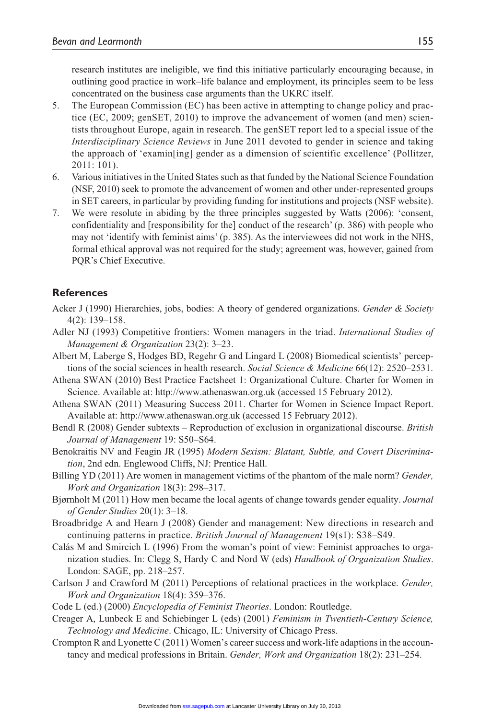research institutes are ineligible, we find this initiative particularly encouraging because, in outlining good practice in work–life balance and employment, its principles seem to be less concentrated on the business case arguments than the UKRC itself.

- 5. The European Commission (EC) has been active in attempting to change policy and practice (EC, 2009; genSET, 2010) to improve the advancement of women (and men) scientists throughout Europe, again in research. The genSET report led to a special issue of the *Interdisciplinary Science Reviews* in June 2011 devoted to gender in science and taking the approach of 'examin[ing] gender as a dimension of scientific excellence' (Pollitzer, 2011: 101).
- 6. Various initiatives in the United States such as that funded by the National Science Foundation (NSF, 2010) seek to promote the advancement of women and other under-represented groups in SET careers, in particular by providing funding for institutions and projects (NSF website).
- 7. We were resolute in abiding by the three principles suggested by Watts (2006): 'consent, confidentiality and [responsibility for the] conduct of the research' (p. 386) with people who may not 'identify with feminist aims' (p. 385). As the interviewees did not work in the NHS, formal ethical approval was not required for the study; agreement was, however, gained from PQR's Chief Executive.

#### **References**

- Acker J (1990) Hierarchies, jobs, bodies: A theory of gendered organizations. *Gender & Society* 4(2): 139–158.
- Adler NJ (1993) Competitive frontiers: Women managers in the triad. *International Studies of Management & Organization* 23(2): 3–23.
- Albert M, Laberge S, Hodges BD, Regehr G and Lingard L (2008) Biomedical scientists' perceptions of the social sciences in health research. *Social Science & Medicine* 66(12): 2520–2531.
- Athena SWAN (2010) Best Practice Factsheet 1: Organizational Culture. Charter for Women in Science. Available at: http://www.athenaswan.org.uk (accessed 15 February 2012).
- Athena SWAN (2011) Measuring Success 2011. Charter for Women in Science Impact Report. Available at: http://www.athenaswan.org.uk (accessed 15 February 2012).
- Bendl R (2008) Gender subtexts Reproduction of exclusion in organizational discourse. *British Journal of Management* 19: S50–S64.
- Benokraitis NV and Feagin JR (1995) *Modern Sexism: Blatant, Subtle, and Covert Discrimination*, 2nd edn. Englewood Cliffs, NJ: Prentice Hall.
- Billing YD (2011) Are women in management victims of the phantom of the male norm? *Gender, Work and Organization* 18(3): 298–317.
- Bjørnholt M (2011) How men became the local agents of change towards gender equality. *Journal of Gender Studies* 20(1): 3–18.
- Broadbridge A and Hearn J (2008) Gender and management: New directions in research and continuing patterns in practice. *British Journal of Management* 19(s1): S38–S49.
- Calás M and Smircich L (1996) From the woman's point of view: Feminist approaches to organization studies. In: Clegg S, Hardy C and Nord W (eds) *Handbook of Organization Studies*. London: SAGE, pp. 218–257.
- Carlson J and Crawford M (2011) Perceptions of relational practices in the workplace. *Gender, Work and Organization* 18(4): 359–376.
- Code L (ed.) (2000) *Encyclopedia of Feminist Theories*. London: Routledge.
- Creager A, Lunbeck E and Schiebinger L (eds) (2001) *Feminism in Twentieth-Century Science, Technology and Medicine*. Chicago, IL: University of Chicago Press.
- Crompton R and Lyonette C (2011) Women's career success and work-life adaptions in the accountancy and medical professions in Britain. *Gender, Work and Organization* 18(2): 231–254.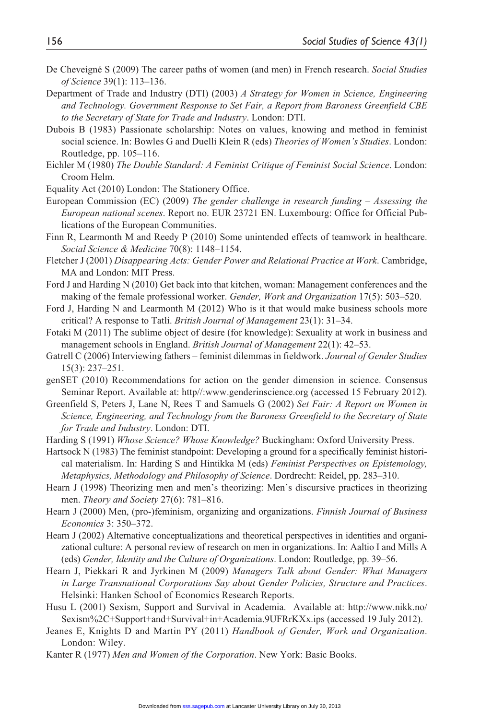- De Cheveigné S (2009) The career paths of women (and men) in French research. *Social Studies of Science* 39(1): 113–136.
- Department of Trade and Industry (DTI) (2003) *A Strategy for Women in Science, Engineering and Technology. Government Response to Set Fair, a Report from Baroness Greenfield CBE to the Secretary of State for Trade and Industry*. London: DTI.
- Dubois B (1983) Passionate scholarship: Notes on values, knowing and method in feminist social science. In: Bowles G and Duelli Klein R (eds) *Theories of Women's Studies*. London: Routledge, pp. 105–116.
- Eichler M (1980) *The Double Standard: A Feminist Critique of Feminist Social Science*. London: Croom Helm.
- Equality Act (2010) London: The Stationery Office.
- European Commission (EC) (2009) *The gender challenge in research funding Assessing the European national scenes*. Report no. EUR 23721 EN. Luxembourg: Office for Official Publications of the European Communities.
- Finn R, Learmonth M and Reedy P (2010) Some unintended effects of teamwork in healthcare. *Social Science & Medicine* 70(8): 1148–1154.
- Fletcher J (2001) *Disappearing Acts: Gender Power and Relational Practice at Work*. Cambridge, MA and London: MIT Press.
- Ford J and Harding N (2010) Get back into that kitchen, woman: Management conferences and the making of the female professional worker. *Gender, Work and Organization* 17(5): 503–520.
- Ford J, Harding N and Learmonth M (2012) Who is it that would make business schools more critical? A response to Tatli. *British Journal of Management* 23(1): 31–34.
- Fotaki M (2011) The sublime object of desire (for knowledge): Sexuality at work in business and management schools in England. *British Journal of Management* 22(1): 42–53.
- Gatrell C (2006) Interviewing fathers feminist dilemmas in fieldwork. *Journal of Gender Studies* 15(3): 237–251.
- genSET (2010) Recommendations for action on the gender dimension in science. Consensus Seminar Report. Available at: http//:www.genderinscience.org (accessed 15 February 2012).
- Greenfield S, Peters J, Lane N, Rees T and Samuels G (2002) *Set Fair: A Report on Women in Science, Engineering, and Technology from the Baroness Greenfield to the Secretary of State for Trade and Industry*. London: DTI.
- Harding S (1991) *Whose Science? Whose Knowledge?* Buckingham: Oxford University Press.
- Hartsock N (1983) The feminist standpoint: Developing a ground for a specifically feminist historical materialism. In: Harding S and Hintikka M (eds) *Feminist Perspectives on Epistemology, Metaphysics, Methodology and Philosophy of Science*. Dordrecht: Reidel, pp. 283–310.
- Hearn J (1998) Theorizing men and men's theorizing: Men's discursive practices in theorizing men. *Theory and Society* 27(6): 781–816.
- Hearn J (2000) Men, (pro-)feminism, organizing and organizations. *Finnish Journal of Business Economics* 3: 350–372.
- Hearn J (2002) Alternative conceptualizations and theoretical perspectives in identities and organizational culture: A personal review of research on men in organizations. In: Aaltio I and Mills A (eds) *Gender, Identity and the Culture of Organizations*. London: Routledge, pp. 39–56.
- Hearn J, Piekkari R and Jyrkinen M (2009) *Managers Talk about Gender: What Managers in Large Transnational Corporations Say about Gender Policies, Structure and Practices*. Helsinki: Hanken School of Economics Research Reports.
- Husu L (2001) Sexism, Support and Survival in Academia. Available at: http://www.nikk.no/ Sexism%2C+Support+and+Survival+in+Academia.9UFRrKXx.ips (accessed 19 July 2012).
- Jeanes E, Knights D and Martin PY (2011) *Handbook of Gender, Work and Organization*. London: Wiley.
- Kanter R (1977) *Men and Women of the Corporation*. New York: Basic Books.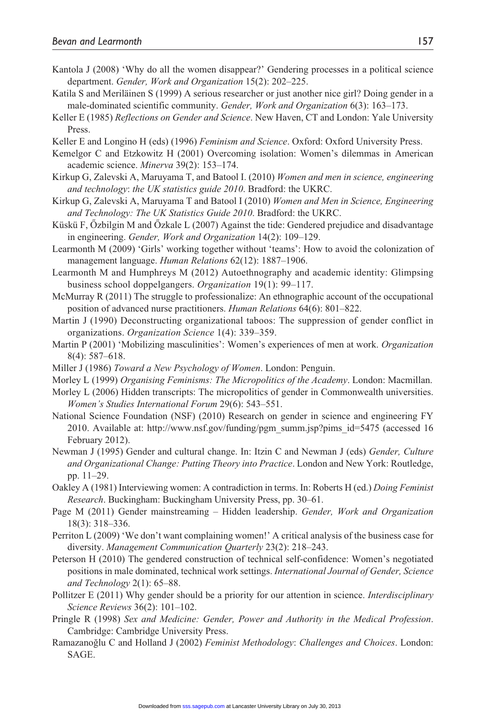- Kantola J (2008) 'Why do all the women disappear?' Gendering processes in a political science department. *Gender, Work and Organization* 15(2): 202–225.
- Katila S and Meriläinen S (1999) A serious researcher or just another nice girl? Doing gender in a male-dominated scientific community. *Gender, Work and Organization* 6(3): 163–173.
- Keller E (1985) *Reflections on Gender and Science*. New Haven, CT and London: Yale University Press.
- Keller E and Longino H (eds) (1996) *Feminism and Science*. Oxford: Oxford University Press.
- Kemelgor C and Etzkowitz H (2001) Overcoming isolation: Women's dilemmas in American academic science. *Minerva* 39(2): 153–174.
- Kirkup G, Zalevski A, Maruyama T, and Batool I. (2010) *Women and men in science, engineering and technology*: *the UK statistics guide 2010*. Bradford: the UKRC.
- Kirkup G, Zalevski A, Maruyama T and Batool I (2010) *Women and Men in Science, Engineering and Technology: The UK Statistics Guide 2010*. Bradford: the UKRC.
- Küskü F, Őzbilgin M and Őzkale L (2007) Against the tide: Gendered prejudice and disadvantage in engineering. *Gender, Work and Organization* 14(2): 109–129.
- Learmonth M (2009) 'Girls' working together without 'teams': How to avoid the colonization of management language. *Human Relations* 62(12): 1887–1906.
- Learmonth M and Humphreys M (2012) Autoethnography and academic identity: Glimpsing business school doppelgangers. *Organization* 19(1): 99–117.
- McMurray R (2011) The struggle to professionalize: An ethnographic account of the occupational position of advanced nurse practitioners. *Human Relations* 64(6): 801–822.
- Martin J (1990) Deconstructing organizational taboos: The suppression of gender conflict in organizations. *Organization Science* 1(4): 339–359.
- Martin P (2001) 'Mobilizing masculinities': Women's experiences of men at work. *Organization* 8(4): 587–618.
- Miller J (1986) *Toward a New Psychology of Women*. London: Penguin.
- Morley L (1999) *Organising Feminisms: The Micropolitics of the Academy*. London: Macmillan.
- Morley L (2006) Hidden transcripts: The micropolitics of gender in Commonwealth universities. *Women's Studies International Forum* 29(6): 543–551.
- National Science Foundation (NSF) (2010) Research on gender in science and engineering FY 2010. Available at: http://www.nsf.gov/funding/pgm\_summ.jsp?pims\_id=5475 (accessed 16 February 2012).
- Newman J (1995) Gender and cultural change. In: Itzin C and Newman J (eds) *Gender, Culture and Organizational Change: Putting Theory into Practice*. London and New York: Routledge, pp. 11–29.
- Oakley A (1981) Interviewing women: A contradiction in terms. In: Roberts H (ed.) *Doing Feminist Research*. Buckingham: Buckingham University Press, pp. 30–61.
- Page M (2011) Gender mainstreaming Hidden leadership. *Gender, Work and Organization* 18(3): 318–336.
- Perriton L (2009) 'We don't want complaining women!' A critical analysis of the business case for diversity. *Management Communication Quarterly* 23(2): 218–243.
- Peterson H (2010) The gendered construction of technical self-confidence: Women's negotiated positions in male dominated, technical work settings. *International Journal of Gender, Science and Technology* 2(1): 65–88.
- Pollitzer E (2011) Why gender should be a priority for our attention in science. *Interdisciplinary Science Reviews* 36(2): 101–102.
- Pringle R (1998) *Sex and Medicine: Gender, Power and Authority in the Medical Profession*. Cambridge: Cambridge University Press.
- Ramazanoğlu C and Holland J (2002) *Feminist Methodology*: *Challenges and Choices*. London: SAGE.